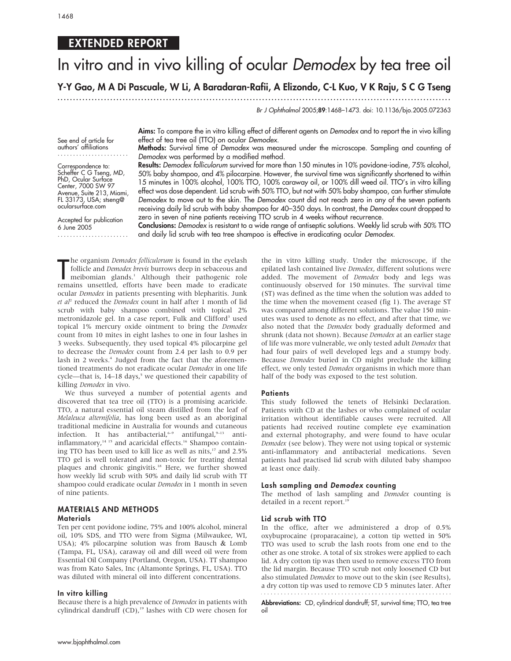## EXTENDED REPORT

# In vitro and in vivo killing of ocular Demodex by tea tree oil

Y-Y Gao, M A Di Pascuale, W Li, A Baradaran-Rafii, A Elizondo, C-L Kuo, V K Raju, S C G Tseng

...............................................................................................................................

Br J Ophthalmol 2005;89:1468–1473. doi: 10.1136/bjo.2005.072363

See end of article for authors' affiliations .......................

Correspondence to: Scheffer C G Tseng, MD, PhD, Ocular Surface Center, 7000 SW 97 Avenue, Suite 213, Miami, FL 33173, USA; stseng@ ocularsurface.com

Accepted for publication 6 June 2005 ....................... Aims: To compare the in vitro killing effect of different agents on Demodex and to report the in vivo killing effect of tea tree oil (TTO) on ocular Demodex.

Methods: Survival time of Demodex was measured under the microscope. Sampling and counting of Demodex was performed by a modified method.

Results: Demodex folliculorum survived for more than 150 minutes in 10% povidone-iodine, 75% alcohol, 50% baby shampoo, and 4% pilocarpine. However, the survival time was significantly shortened to within 15 minutes in 100% alcohol, 100% TTO, 100% caraway oil, or 100% dill weed oil. TTO's in vitro killing effect was dose dependent. Lid scrub with 50% TTO, but not with 50% baby shampoo, can further stimulate Demodex to move out to the skin. The Demodex count did not reach zero in any of the seven patients receiving daily lid scrub with baby shampoo for 40–350 days. In contrast, the Demodex count dropped to zero in seven of nine patients receiving TTO scrub in 4 weeks without recurrence.

Conclusions: Demodex is resistant to a wide range of antiseptic solutions. Weekly lid scrub with 50% TTO and daily lid scrub with tea tree shampoo is effective in eradicating ocular Demodex.

The organism *Demodex foliculorum* is found in the eyelash follicle and *Demodex brevis* burrows deep in sebaceous and meibomian glands.<sup>1</sup> Although their pathogenic role remains unsettled, efforts have been made to eradic he organism *Demodex folliculorum* is found in the eyelash follicle and Demodex brevis burrows deep in sebaceous and meibomian glands.<sup>1</sup> Although their pathogenic role ocular Demodex in patients presenting with blepharitis. Junk et  $al^2$  reduced the Demodex count in half after 1 month of lid scrub with baby shampoo combined with topical 2% metronidazole gel. In a case report, Fulk and Clifford<sup>3</sup> used topical 1% mercury oxide ointment to bring the Demodex count from 10 mites in eight lashes to one in four lashes in 3 weeks. Subsequently, they used topical 4% pilocarpine gel to decrease the Demodex count from 2.4 per lash to 0.9 per lash in 2 weeks.<sup>4</sup> Judged from the fact that the aforementioned treatments do not eradicate ocular Demodex in one life cycle—that is,  $14-18$  days,<sup>5</sup> we questioned their capability of killing Demodex in vivo.

We thus surveyed a number of potential agents and discovered that tea tree oil (TTO) is a promising acaricide. TTO, a natural essential oil steam distilled from the leaf of Melaleuca alternifolia, has long been used as an aboriginal traditional medicine in Australia for wounds and cutaneous infection. It has antibacterial,  $6-9$  antifungal,  $9-13$  antiinflammatory, $14 \times 15$  and acaricidal effects.<sup>16</sup> Shampoo containing TTO has been used to kill lice as well as nits, $17$  and 2.5% TTO gel is well tolerated and non-toxic for treating dental plaques and chronic gingivitis.<sup>18</sup> Here, we further showed how weekly lid scrub with 50% and daily lid scrub with TT shampoo could eradicate ocular Demodex in 1 month in seven of nine patients.

## MATERIALS AND METHODS **Materials**

Ten per cent povidone iodine, 75% and 100% alcohol, mineral oil, 10% SDS, and TTO were from Sigma (Milwaukee, WI, USA); 4% pilocarpine solution was from Bausch & Lomb (Tampa, FL, USA), caraway oil and dill weed oil were from Essential Oil Company (Portland, Oregon, USA). TT shampoo was from Kato Sales, Inc (Altamonte Springs, FL, USA). TTO was diluted with mineral oil into different concentrations.

## In vitro killing

Because there is a high prevalence of Demodex in patients with cylindrical dandruff (CD),<sup>19</sup> lashes with CD were chosen for the in vitro killing study. Under the microscope, if the epilated lash contained live Demodex, different solutions were added. The movement of Demodex body and legs was continuously observed for 150 minutes. The survival time (ST) was defined as the time when the solution was added to the time when the movement ceased (fig 1). The average ST was compared among different solutions. The value 150 minutes was used to denote as no effect, and after that time, we also noted that the Demodex body gradually deformed and shrunk (data not shown). Because Demodex at an earlier stage of life was more vulnerable, we only tested adult Demodex that had four pairs of well developed legs and a stumpy body. Because Demodex buried in CD might preclude the killing effect, we only tested Demodex organisms in which more than half of the body was exposed to the test solution.

### **Patients**

This study followed the tenets of Helsinki Declaration. Patients with CD at the lashes or who complained of ocular irritation without identifiable causes were recruited. All patients had received routine complete eye examination and external photography, and were found to have ocular Demodex (see below). They were not using topical or systemic anti-inflammatory and antibacterial medications. Seven patients had practised lid scrub with diluted baby shampoo at least once daily.

## Lash sampling and Demodex counting

The method of lash sampling and Demodex counting is detailed in a recent report.<sup>19</sup>

## Lid scrub with TTO

In the office, after we administered a drop of 0.5% oxybuprocaine (proparacaine), a cotton tip wetted in 50% TTO was used to scrub the lash roots from one end to the other as one stroke. A total of six strokes were applied to each lid. A dry cotton tip was then used to remove excess TTO from the lid margin. Because TTO scrub not only loosened CD but also stimulated Demodex to move out to the skin (see Results), a dry cotton tip was used to remove CD 5 minutes later. After

Abbreviations: CD, cylindrical dandruff; ST, survival time; TTO, tea tree oil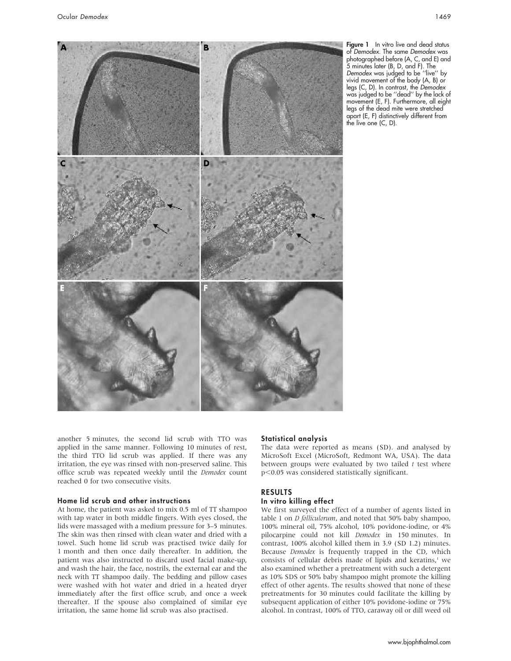

Figure 1 In vitro live and dead status of Demodex. The same Demodex was photographed before (A, C, and E) and 5 minutes later (B, D, and F). The Demodex was judged to be ''live'' by vivid movement of the body (A, B) or legs (C, D). In contrast, the Demodex was judged to be ''dead'' by the lack of movement (E, F). Furthermore, all eight legs of the dead mite were stretched apart (E, F) distinctively different from the live one (C, D).

another 5 minutes, the second lid scrub with TTO was applied in the same manner. Following 10 minutes of rest, the third TTO lid scrub was applied. If there was any irritation, the eye was rinsed with non-preserved saline. This office scrub was repeated weekly until the Demodex count reached 0 for two consecutive visits.

## Home lid scrub and other instructions

At home, the patient was asked to mix 0.5 ml of TT shampoo with tap water in both middle fingers. With eyes closed, the lids were massaged with a medium pressure for 3–5 minutes. The skin was then rinsed with clean water and dried with a towel. Such home lid scrub was practised twice daily for 1 month and then once daily thereafter. In addition, the patient was also instructed to discard used facial make-up, and wash the hair, the face, nostrils, the external ear and the neck with TT shampoo daily. The bedding and pillow cases were washed with hot water and dried in a heated dryer immediately after the first office scrub, and once a week thereafter. If the spouse also complained of similar eye irritation, the same home lid scrub was also practised.

## Statistical analysis

The data were reported as means (SD). and analysed by MicroSoft Excel (MicroSoft, Redmont WA, USA). The data between groups were evaluated by two tailed  $t$  test where p<0.05 was considered statistically significant.

## RESULTS

## In vitro killing effect

We first surveyed the effect of a number of agents listed in table 1 on *D folliculorum*, and noted that 50% baby shampoo, 100% mineral oil, 75% alcohol, 10% povidone-iodine, or 4% pilocarpine could not kill Demodex in 150 minutes. In contrast, 100% alcohol killed them in 3.9 (SD 1.2) minutes. Because Demodex is frequently trapped in the CD, which consists of cellular debris made of lipids and keratins,<sup>1</sup> we also examined whether a pretreatment with such a detergent as 10% SDS or 50% baby shampoo might promote the killing effect of other agents. The results showed that none of these pretreatments for 30 minutes could facilitate the killing by subsequent application of either 10% povidone-iodine or 75% alcohol. In contrast, 100% of TTO, caraway oil or dill weed oil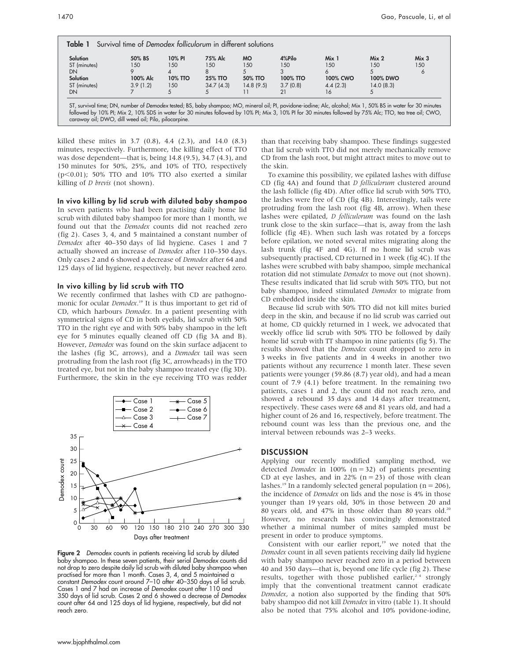| Solution     | 50% BS   | 10% PI  | 75% Alc        | <b>MO</b> | 4%Pilo   | Mix 1    | Mix <sub>2</sub> | Mix <sub>3</sub> |
|--------------|----------|---------|----------------|-----------|----------|----------|------------------|------------------|
| ST (minutes) | 150      | 150     | 150            | 1.50      | 150      | 150      | 1.50             | 150              |
| DN           |          |         | 8              |           |          |          |                  | 6                |
| Solution     | 100% Alc | 10% TTO | <b>25% TTO</b> | 50% TTO   | 100% TTO | 100% CWO | 100% DWO         |                  |
| ST (minutes) | 3.9(1.2) | 150     | 34.7(4.3)      | 14.8(9.5) | 3.7(0.8) | 4.4(2.3) | 14.0(8.3)        |                  |
| DN           |          |         |                |           | 21       | 16       |                  |                  |

killed these mites in 3.7 (0.8), 4.4 (2.3), and 14.0 (8.3) minutes, respectively. Furthermore, the killing effect of TTO was dose dependent—that is, being 14.8 (9.5), 34.7 (4.3), and 150 minutes for 50%, 25%, and 10% of TTO, respectively ( $p$ <0.01); 50% TTO and 10% TTO also exerted a similar killing of D brevis (not shown).

In vivo killing by lid scrub with diluted baby shampoo

In seven patients who had been practising daily home lid scrub with diluted baby shampoo for more than 1 month, we found out that the *Demodex* counts did not reached zero (fig 2). Cases 3, 4, and 5 maintained a constant number of Demodex after 40–350 days of lid hygiene. Cases 1 and 7 actually showed an increase of Demodex after 110–350 days. Only cases 2 and 6 showed a decrease of Demodex after 64 and 125 days of lid hygiene, respectively, but never reached zero.

### In vivo killing by lid scrub with TTO

We recently confirmed that lashes with CD are pathognomonic for ocular *Demodex*.<sup>19</sup> It is thus important to get rid of CD, which harbours Demodex. In a patient presenting with symmetrical signs of CD in both eyelids, lid scrub with 50% TTO in the right eye and with 50% baby shampoo in the left eye for 5 minutes equally cleaned off CD (fig 3A and B). However, Demodex was found on the skin surface adjacent to the lashes (fig 3C, arrows), and a Demodex tail was seen protruding from the lash root (fig 3C, arrowheads) in the TTO treated eye, but not in the baby shampoo treated eye (fig 3D). Furthermore, the skin in the eye receiving TTO was redder



Figure 2 Demodex counts in patients receiving lid scrub by diluted baby shampoo. In these seven patients, their serial Demodex counts did not drop to zero despite daily lid scrub with diluted baby shampoo when practised for more than 1 month. Cases 3, 4, and 5 maintained a constant Demodex count around 7–10 after 40–350 days of lid scrub. Cases 1 and 7 had an increase of Demodex count after 110 and 350 days of lid scrub. Cases 2 and 6 showed a decrease of Demodex count after 64 and 125 days of lid hygiene, respectively, but did not reach zero.

than that receiving baby shampoo. These findings suggested that lid scrub with TTO did not merely mechanically remove CD from the lash root, but might attract mites to move out to the skin.

To examine this possibility, we epilated lashes with diffuse CD (fig 4A) and found that D folliculorum clustered around the lash follicle (fig 4D). After office lid scrub with 50% TTO, the lashes were free of CD (fig 4B). Interestingly, tails were protruding from the lash root (fig 4B, arrow). When these lashes were epilated, *D folliculorum* was found on the lash trunk close to the skin surface—that is, away from the lash follicle (fig 4E). When such lash was rotated by a forceps before epilation, we noted several mites migrating along the lash trunk (fig 4F and 4G). If no home lid scrub was subsequently practised, CD returned in 1 week (fig 4C). If the lashes were scrubbed with baby shampoo, simple mechanical rotation did not stimulate *Demodex* to move out (not shown). These results indicated that lid scrub with 50% TTO, but not baby shampoo, indeed stimulated Demodex to migrate from CD embedded inside the skin.

Because lid scrub with 50% TTO did not kill mites buried deep in the skin, and because if no lid scrub was carried out at home, CD quickly returned in 1 week, we advocated that weekly office lid scrub with 50% TTO be followed by daily home lid scrub with TT shampoo in nine patients (fig 5). The results showed that the Demodex count dropped to zero in 3 weeks in five patients and in 4 weeks in another two patients without any recurrence 1 month later. These seven patients were younger (59.86 (8.7) year old), and had a mean count of 7.9 (4.1) before treatment. In the remaining two patients, cases 1 and 2, the count did not reach zero, and showed a rebound 35 days and 14 days after treatment, respectively. These cases were 68 and 81 years old, and had a higher count of 26 and 16, respectively, before treatment. The rebound count was less than the previous one, and the interval between rebounds was 2–3 weeks.

### **DISCUSSION**

Applying our recently modified sampling method, we detected *Demodex* in 100% ( $n = 32$ ) of patients presenting CD at eye lashes, and in 22% ( $n = 23$ ) of those with clean lashes.<sup>19</sup> In a randomly selected general population ( $n = 206$ ), the incidence of Demodex on lids and the nose is 4% in those younger than 19 years old, 30% in those between 20 and 80 years old, and 47% in those older than 80 years old.<sup>20</sup> However, no research has convincingly demonstrated whether a minimal number of mites sampled must be present in order to produce symptoms.

Consistent with our earlier report, $19$  we noted that the Demodex count in all seven patients receiving daily lid hygiene with baby shampoo never reached zero in a period between 40 and 350 days—that is, beyond one life cycle (fig 2). These results, together with those published earlier,<sup>24</sup> strongly imply that the conventional treatment cannot eradicate Demodex, a notion also supported by the finding that 50% baby shampoo did not kill Demodex in vitro (table 1). It should also be noted that 75% alcohol and 10% povidone-iodine,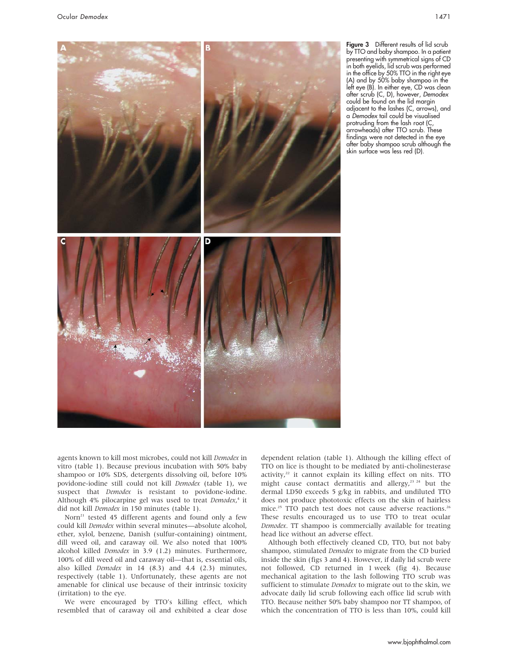

Figure 3 Different results of lid scrub by TTO and baby shampoo. In a patient presenting with symmetrical signs of CD in both eyelids, lid scrub was performed in the office by 50% TTO in the right eye (A) and by 50% baby shampoo in the left eye (B). In either eye, CD was clean after scrub (C, D), however, Demodex could be found on the lid margin adjacent to the lashes (C, arrows), and a Demodex tail could be visualised protruding from the lash root (C, arrowheads) after TTO scrub. These findings were not detected in the eye after baby shampoo scrub although the skin surface was less red (D).

agents known to kill most microbes, could not kill Demodex in vitro (table 1). Because previous incubation with 50% baby shampoo or 10% SDS, detergents dissolving oil, before 10% povidone-iodine still could not kill Demodex (table 1), we suspect that Demodex is resistant to povidone-iodine. Although 4% pilocarpine gel was used to treat Demodex,<sup>4</sup> it did not kill Demodex in 150 minutes (table 1).

Norn<sup>21</sup> tested 45 different agents and found only a few could kill Demodex within several minutes—absolute alcohol, ether, xylol, benzene, Danish (sulfur-containing) ointment, dill weed oil, and caraway oil. We also noted that 100% alcohol killed Demodex in 3.9 (1.2) minutes. Furthermore, 100% of dill weed oil and caraway oil—that is, essential oils, also killed Demodex in 14 (8.3) and 4.4 (2.3) minutes, respectively (table 1). Unfortunately, these agents are not amenable for clinical use because of their intrinsic toxicity (irritation) to the eye.

We were encouraged by TTO's killing effect, which resembled that of caraway oil and exhibited a clear dose dependent relation (table 1). Although the killing effect of TTO on lice is thought to be mediated by anti-cholinesterase activity, $22$  it cannot explain its killing effect on nits. TTO might cause contact dermatitis and allergy,<sup>23 24</sup> but the dermal LD50 exceeds 5 g/kg in rabbits, and undiluted TTO does not produce phototoxic effects on the skin of hairless mice.<sup>25</sup> TTO patch test does not cause adverse reactions.<sup>26</sup> These results encouraged us to use TTO to treat ocular Demodex. TT shampoo is commercially available for treating head lice without an adverse effect.

Although both effectively cleaned CD, TTO, but not baby shampoo, stimulated *Demodex* to migrate from the CD buried inside the skin (figs 3 and 4). However, if daily lid scrub were not followed, CD returned in 1 week (fig 4). Because mechanical agitation to the lash following TTO scrub was sufficient to stimulate Demodex to migrate out to the skin, we advocate daily lid scrub following each office lid scrub with TTO. Because neither 50% baby shampoo nor TT shampoo, of which the concentration of TTO is less than 10%, could kill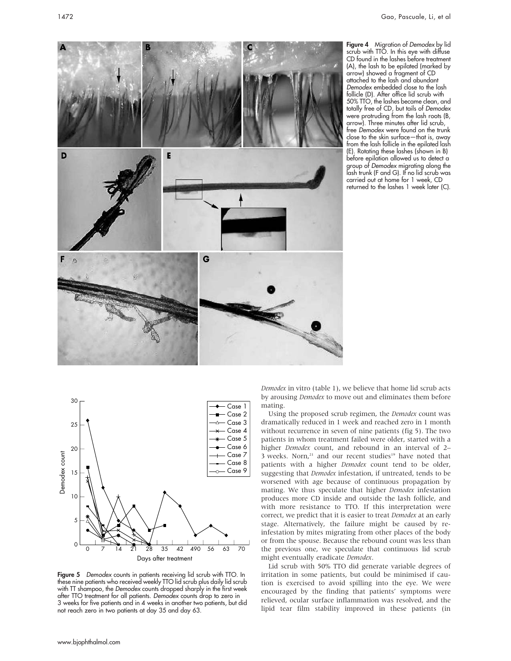Figure 4 Migration of Demodex by lid scrub with TTO. In this eye with diffuse CD found in the lashes before treatment (A), the lash to be epilated (marked by arrow) showed a fragment of CD attached to the lash and abundant Demodex embedded close to the lash follicle (D). After office lid scrub with 50% TTO, the lashes became clean, and totally free of CD, but tails of Demodex were protruding from the lash roots (B, arrow). Three minutes after lid scrub, free Demodex were found on the trunk close to the skin surface—that is, away from the lash follicle in the epilated lash (E). Rotating these lashes (shown in B) before epilation allowed us to detect a group of Demodex migrating along the lash trunk (F and G). If no lid scrub was carried out at home for 1 week, CD returned to the lashes 1 week later (C).





Figure 5 Demodex counts in patients receiving lid scrub with TTO. In these nine patients who received weekly TTO lid scrub plus daily lid scrub with TT shampoo, the Demodex counts dropped sharply in the first week after TTO treatment for all patients. Demodex counts drop to zero in 3 weeks for five patients and in 4 weeks in another two patients, but did not reach zero in two patients at day 35 and day 63.

Demodex in vitro (table 1), we believe that home lid scrub acts by arousing Demodex to move out and eliminates them before mating.

Using the proposed scrub regimen, the Demodex count was dramatically reduced in 1 week and reached zero in 1 month without recurrence in seven of nine patients (fig 5). The two patients in whom treatment failed were older, started with a higher *Demodex* count, and rebound in an interval of 2-3 weeks. Norn, $21$  and our recent studies<sup>19</sup> have noted that patients with a higher *Demodex* count tend to be older, suggesting that Demodex infestation, if untreated, tends to be worsened with age because of continuous propagation by mating. We thus speculate that higher Demodex infestation produces more CD inside and outside the lash follicle, and with more resistance to TTO. If this interpretation were correct, we predict that it is easier to treat Demodex at an early stage. Alternatively, the failure might be caused by reinfestation by mites migrating from other places of the body or from the spouse. Because the rebound count was less than the previous one, we speculate that continuous lid scrub might eventually eradicate Demodex.

Lid scrub with 50% TTO did generate variable degrees of irritation in some patients, but could be minimised if caution is exercised to avoid spilling into the eye. We were encouraged by the finding that patients' symptoms were relieved, ocular surface inflammation was resolved, and the lipid tear film stability improved in these patients (in